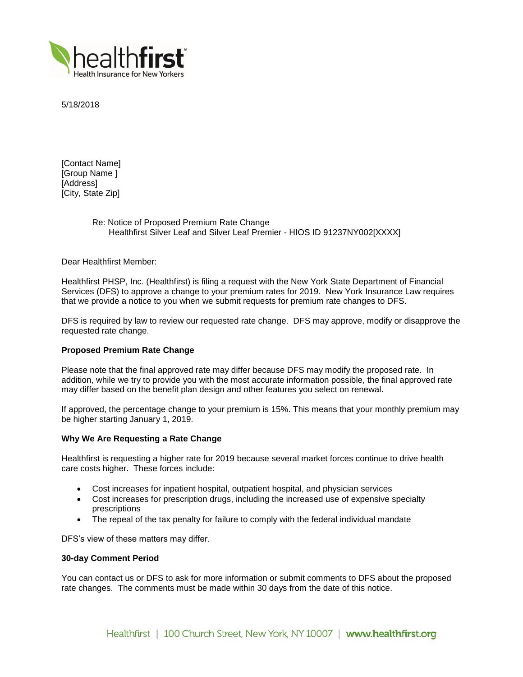

5/18/2018

[Contact Name] [Group Name ] [Address] [City, State Zip]

> Re: Notice of Proposed Premium Rate Change Healthfirst Silver Leaf and Silver Leaf Premier - HIOS ID 91237NY002[XXXX]

Dear Healthfirst Member:

Healthfirst PHSP, Inc. (Healthfirst) is filing a request with the New York State Department of Financial Services (DFS) to approve a change to your premium rates for 2019. New York Insurance Law requires that we provide a notice to you when we submit requests for premium rate changes to DFS.

DFS is required by law to review our requested rate change. DFS may approve, modify or disapprove the requested rate change.

# **Proposed Premium Rate Change**

Please note that the final approved rate may differ because DFS may modify the proposed rate. In addition, while we try to provide you with the most accurate information possible, the final approved rate may differ based on the benefit plan design and other features you select on renewal.

If approved, the percentage change to your premium is 15%. This means that your monthly premium may be higher starting January 1, 2019.

## **Why We Are Requesting a Rate Change**

Healthfirst is requesting a higher rate for 2019 because several market forces continue to drive health care costs higher. These forces include:

- Cost increases for inpatient hospital, outpatient hospital, and physician services
- Cost increases for prescription drugs, including the increased use of expensive specialty prescriptions
- The repeal of the tax penalty for failure to comply with the federal individual mandate

DFS's view of these matters may differ.

## **30-day Comment Period**

You can contact us or DFS to ask for more information or submit comments to DFS about the proposed rate changes. The comments must be made within 30 days from the date of this notice.